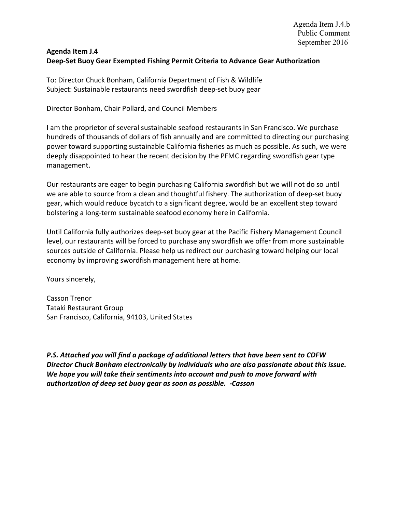## Agenda Item J.4 Deep-Set Buoy Gear Exempted Fishing Permit Criteria to Advance Gear Authorization

To: Director Chuck Bonham, California Department of Fish & Wildlife Subject: Sustainable restaurants need swordfish deep-set buoy gear

Director Bonham, Chair Pollard, and Council Members

I am the proprietor of several sustainable seafood restaurants in San Francisco. We purchase hundreds of thousands of dollars of fish annually and are committed to directing our purchasing power toward supporting sustainable California fisheries as much as possible. As such, we were deeply disappointed to hear the recent decision by the PFMC regarding swordfish gear type management.

Our restaurants are eager to begin purchasing California swordfish but we will not do so until we are able to source from a clean and thoughtful fishery. The authorization of deep-set buoy gear, which would reduce bycatch to a significant degree, would be an excellent step toward bolstering a long-term sustainable seafood economy here in California.

Until California fully authorizes deep-set buoy gear at the Pacific Fishery Management Council level, our restaurants will be forced to purchase any swordfish we offer from more sustainable sources outside of California. Please help us redirect our purchasing toward helping our local economy by improving swordfish management here at home.

Yours sincerely,

Casson Trenor Tataki Restaurant Group San Francisco, California, 94103, United States

P.S. Attached you will find a package of additional letters that have been sent to CDFW Director Chuck Bonham electronically by individuals who are also passionate about this issue. We hope you will take their sentiments into account and push to move forward with authorization of deep set buoy gear as soon as possible. -Casson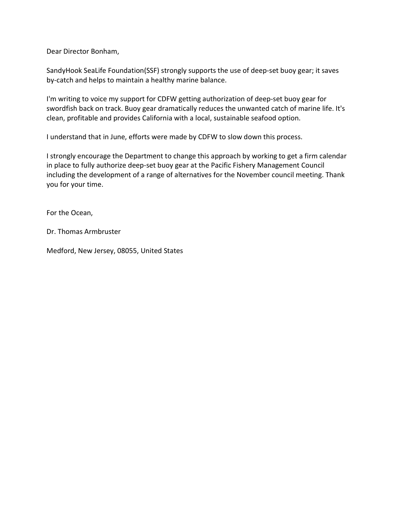Dear Director Bonham,

SandyHook SeaLife Foundation(SSF) strongly supports the use of deep-set buoy gear; it saves by-catch and helps to maintain a healthy marine balance.

I'm writing to voice my support for CDFW getting authorization of deep-set buoy gear for swordfish back on track. Buoy gear dramatically reduces the unwanted catch of marine life. It's clean, profitable and provides California with a local, sustainable seafood option.

I understand that in June, efforts were made by CDFW to slow down this process.

I strongly encourage the Department to change this approach by working to get a firm calendar in place to fully authorize deep-set buoy gear at the Pacific Fishery Management Council including the development of a range of alternatives for the November council meeting. Thank you for your time.

For the Ocean,

Dr. Thomas Armbruster

Medford, New Jersey, 08055, United States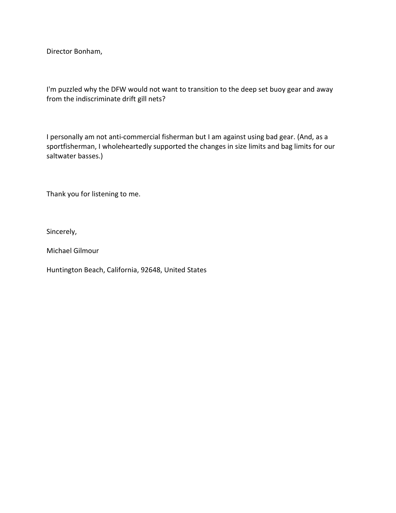I'm puzzled why the DFW would not want to transition to the deep set buoy gear and away from the indiscriminate drift gill nets?

I personally am not anti-commercial fisherman but I am against using bad gear. (And, as a sportfisherman, I wholeheartedly supported the changes in size limits and bag limits for our saltwater basses.)

Thank you for listening to me.

Sincerely,

Michael Gilmour

Huntington Beach, California, 92648, United States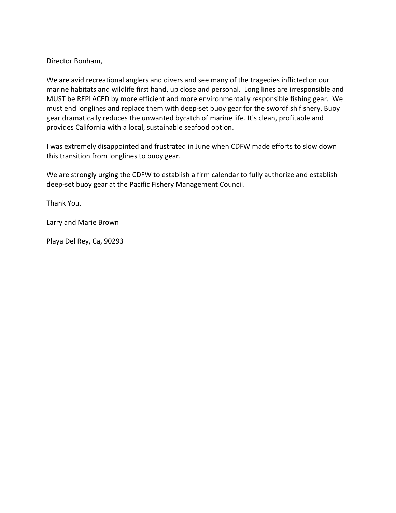We are avid recreational anglers and divers and see many of the tragedies inflicted on our marine habitats and wildlife first hand, up close and personal. Long lines are irresponsible and MUST be REPLACED by more efficient and more environmentally responsible fishing gear. We must end longlines and replace them with deep-set buoy gear for the swordfish fishery. Buoy gear dramatically reduces the unwanted bycatch of marine life. It's clean, profitable and provides California with a local, sustainable seafood option.

I was extremely disappointed and frustrated in June when CDFW made efforts to slow down this transition from longlines to buoy gear.

We are strongly urging the CDFW to establish a firm calendar to fully authorize and establish deep-set buoy gear at the Pacific Fishery Management Council.

Thank You,

Larry and Marie Brown

Playa Del Rey, Ca, 90293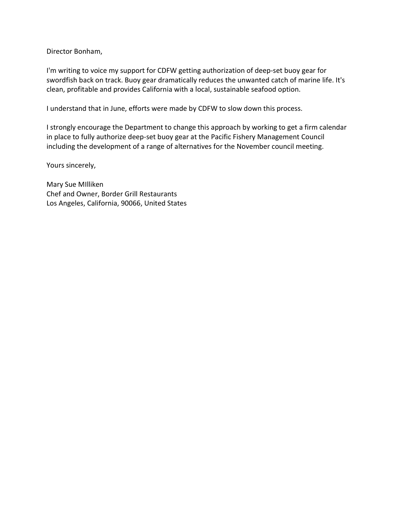I'm writing to voice my support for CDFW getting authorization of deep-set buoy gear for swordfish back on track. Buoy gear dramatically reduces the unwanted catch of marine life. It's clean, profitable and provides California with a local, sustainable seafood option.

I understand that in June, efforts were made by CDFW to slow down this process.

I strongly encourage the Department to change this approach by working to get a firm calendar in place to fully authorize deep-set buoy gear at the Pacific Fishery Management Council including the development of a range of alternatives for the November council meeting.

Yours sincerely,

Mary Sue MIlliken Chef and Owner, Border Grill Restaurants Los Angeles, California, 90066, United States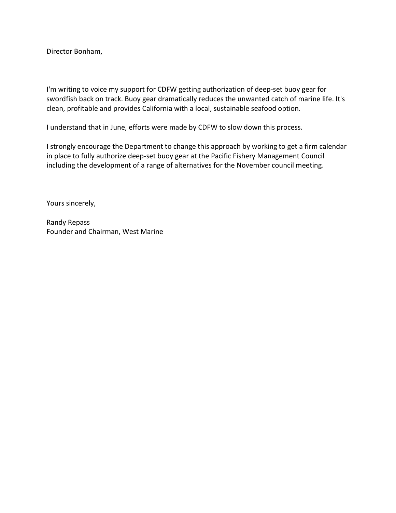I'm writing to voice my support for CDFW getting authorization of deep-set buoy gear for swordfish back on track. Buoy gear dramatically reduces the unwanted catch of marine life. It's clean, profitable and provides California with a local, sustainable seafood option.

I understand that in June, efforts were made by CDFW to slow down this process.

I strongly encourage the Department to change this approach by working to get a firm calendar in place to fully authorize deep-set buoy gear at the Pacific Fishery Management Council including the development of a range of alternatives for the November council meeting.

Yours sincerely,

Randy Repass Founder and Chairman, West Marine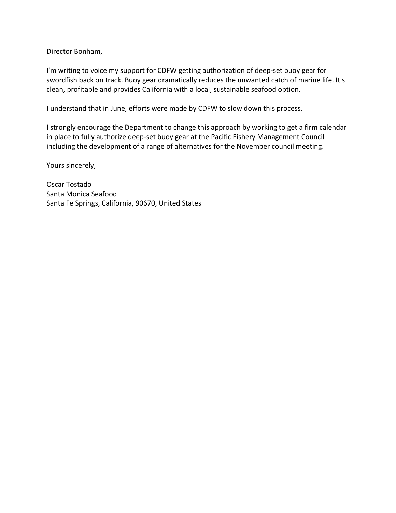I'm writing to voice my support for CDFW getting authorization of deep-set buoy gear for swordfish back on track. Buoy gear dramatically reduces the unwanted catch of marine life. It's clean, profitable and provides California with a local, sustainable seafood option.

I understand that in June, efforts were made by CDFW to slow down this process.

I strongly encourage the Department to change this approach by working to get a firm calendar in place to fully authorize deep-set buoy gear at the Pacific Fishery Management Council including the development of a range of alternatives for the November council meeting.

Yours sincerely,

Oscar Tostado Santa Monica Seafood Santa Fe Springs, California, 90670, United States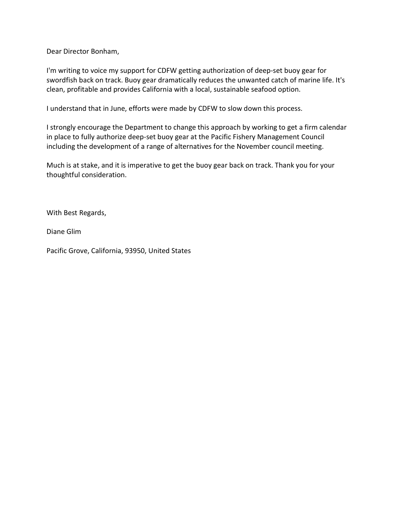Dear Director Bonham,

I'm writing to voice my support for CDFW getting authorization of deep-set buoy gear for swordfish back on track. Buoy gear dramatically reduces the unwanted catch of marine life. It's clean, profitable and provides California with a local, sustainable seafood option.

I understand that in June, efforts were made by CDFW to slow down this process.

I strongly encourage the Department to change this approach by working to get a firm calendar in place to fully authorize deep-set buoy gear at the Pacific Fishery Management Council including the development of a range of alternatives for the November council meeting.

Much is at stake, and it is imperative to get the buoy gear back on track. Thank you for your thoughtful consideration.

With Best Regards,

Diane Glim

Pacific Grove, California, 93950, United States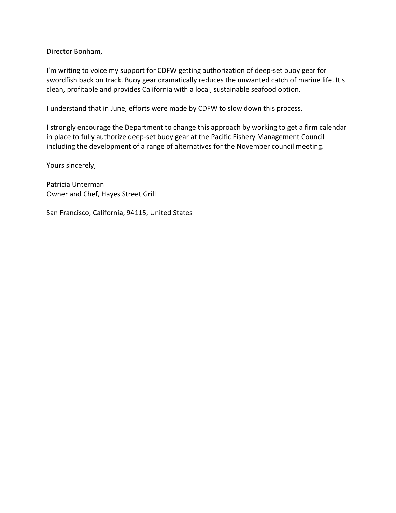I'm writing to voice my support for CDFW getting authorization of deep-set buoy gear for swordfish back on track. Buoy gear dramatically reduces the unwanted catch of marine life. It's clean, profitable and provides California with a local, sustainable seafood option.

I understand that in June, efforts were made by CDFW to slow down this process.

I strongly encourage the Department to change this approach by working to get a firm calendar in place to fully authorize deep-set buoy gear at the Pacific Fishery Management Council including the development of a range of alternatives for the November council meeting.

Yours sincerely,

Patricia Unterman Owner and Chef, Hayes Street Grill

San Francisco, California, 94115, United States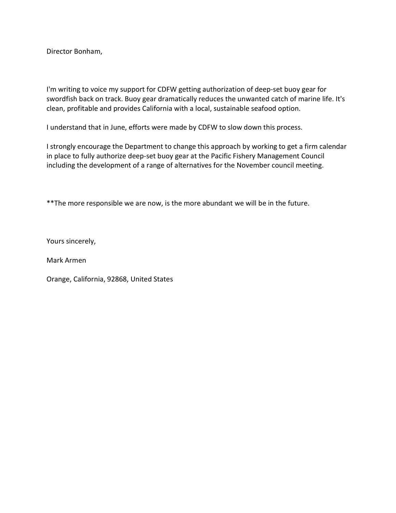I'm writing to voice my support for CDFW getting authorization of deep-set buoy gear for swordfish back on track. Buoy gear dramatically reduces the unwanted catch of marine life. It's clean, profitable and provides California with a local, sustainable seafood option.

I understand that in June, efforts were made by CDFW to slow down this process.

I strongly encourage the Department to change this approach by working to get a firm calendar in place to fully authorize deep-set buoy gear at the Pacific Fishery Management Council including the development of a range of alternatives for the November council meeting.

\*\*The more responsible we are now, is the more abundant we will be in the future.

Yours sincerely,

Mark Armen

Orange, California, 92868, United States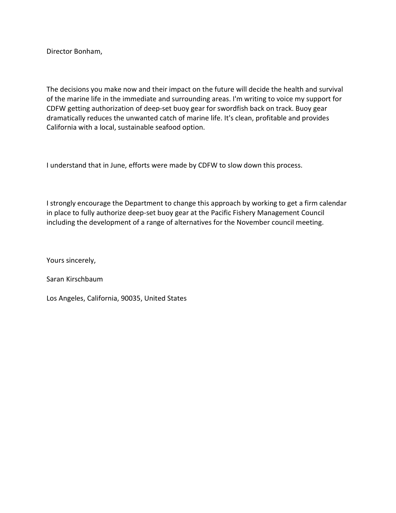The decisions you make now and their impact on the future will decide the health and survival of the marine life in the immediate and surrounding areas. I'm writing to voice my support for CDFW getting authorization of deep-set buoy gear for swordfish back on track. Buoy gear dramatically reduces the unwanted catch of marine life. It's clean, profitable and provides California with a local, sustainable seafood option.

I understand that in June, efforts were made by CDFW to slow down this process.

I strongly encourage the Department to change this approach by working to get a firm calendar in place to fully authorize deep-set buoy gear at the Pacific Fishery Management Council including the development of a range of alternatives for the November council meeting.

Yours sincerely,

Saran Kirschbaum

Los Angeles, California, 90035, United States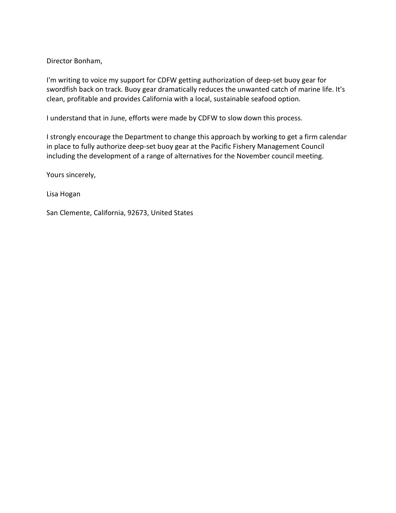I'm writing to voice my support for CDFW getting authorization of deep-set buoy gear for swordfish back on track. Buoy gear dramatically reduces the unwanted catch of marine life. It's clean, profitable and provides California with a local, sustainable seafood option.

I understand that in June, efforts were made by CDFW to slow down this process.

I strongly encourage the Department to change this approach by working to get a firm calendar in place to fully authorize deep-set buoy gear at the Pacific Fishery Management Council including the development of a range of alternatives for the November council meeting.

Yours sincerely,

Lisa Hogan

San Clemente, California, 92673, United States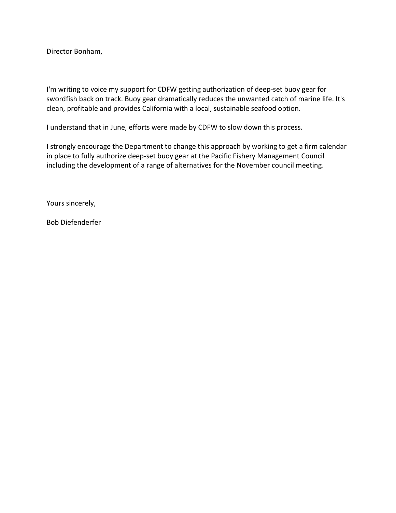I'm writing to voice my support for CDFW getting authorization of deep-set buoy gear for swordfish back on track. Buoy gear dramatically reduces the unwanted catch of marine life. It's clean, profitable and provides California with a local, sustainable seafood option.

I understand that in June, efforts were made by CDFW to slow down this process.

I strongly encourage the Department to change this approach by working to get a firm calendar in place to fully authorize deep-set buoy gear at the Pacific Fishery Management Council including the development of a range of alternatives for the November council meeting.

Yours sincerely,

Bob Diefenderfer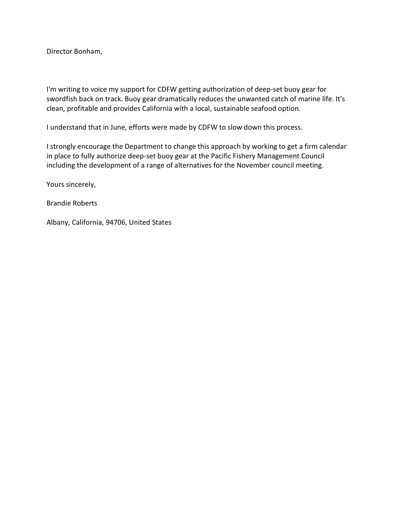I'm writing to voice my support for CDFW getting authorization of deep-set buoy gear for swordfish back on track. Buoy gear dramatically reduces the unwanted catch of marine life. It's clean, profitable and provides California with a local, sustainable seafood option.

I understand that in June, efforts were made by CDFW to slow down this process.

I strongly encourage the Department to change this approach by working to get a firm calendar in place to fully authorize deep-set buoy gear at the Pacific Fishery Management Council including the development of a range of alternatives for the November council meeting.

Yours sincerely,

Brandie Roberts

Albany, California, 94706, United States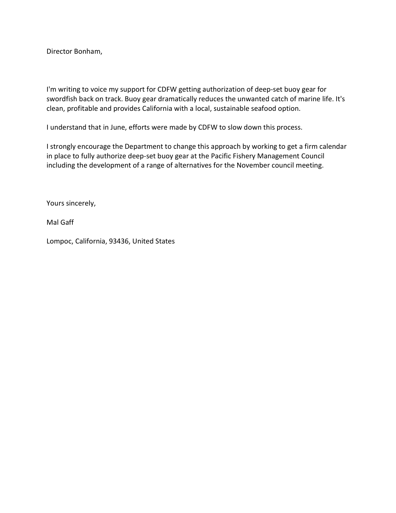I'm writing to voice my support for CDFW getting authorization of deep-set buoy gear for swordfish back on track. Buoy gear dramatically reduces the unwanted catch of marine life. It's clean, profitable and provides California with a local, sustainable seafood option.

I understand that in June, efforts were made by CDFW to slow down this process.

I strongly encourage the Department to change this approach by working to get a firm calendar in place to fully authorize deep-set buoy gear at the Pacific Fishery Management Council including the development of a range of alternatives for the November council meeting.

Yours sincerely,

Mal Gaff

Lompoc, California, 93436, United States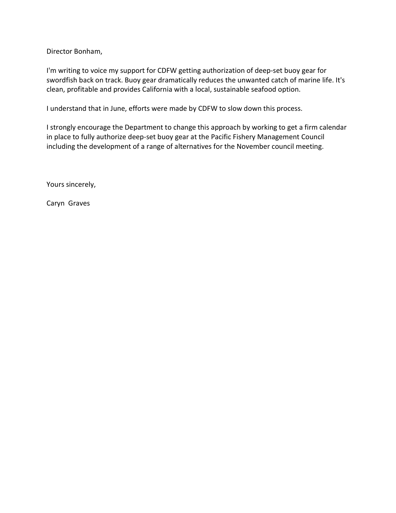I'm writing to voice my support for CDFW getting authorization of deep-set buoy gear for swordfish back on track. Buoy gear dramatically reduces the unwanted catch of marine life. It's clean, profitable and provides California with a local, sustainable seafood option.

I understand that in June, efforts were made by CDFW to slow down this process.

I strongly encourage the Department to change this approach by working to get a firm calendar in place to fully authorize deep-set buoy gear at the Pacific Fishery Management Council including the development of a range of alternatives for the November council meeting.

Yours sincerely,

Caryn Graves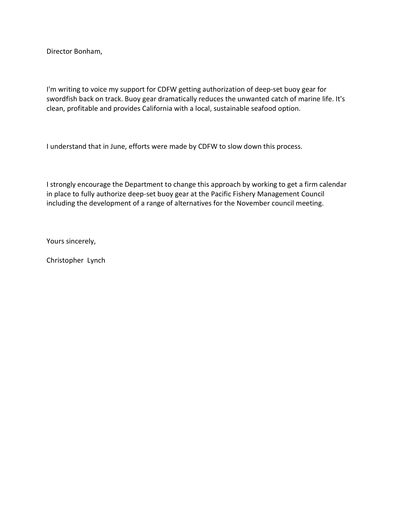I'm writing to voice my support for CDFW getting authorization of deep-set buoy gear for swordfish back on track. Buoy gear dramatically reduces the unwanted catch of marine life. It's clean, profitable and provides California with a local, sustainable seafood option.

I understand that in June, efforts were made by CDFW to slow down this process.

I strongly encourage the Department to change this approach by working to get a firm calendar in place to fully authorize deep-set buoy gear at the Pacific Fishery Management Council including the development of a range of alternatives for the November council meeting.

Yours sincerely,

Christopher Lynch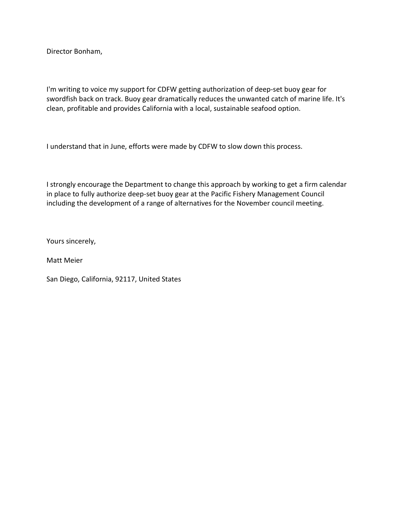I'm writing to voice my support for CDFW getting authorization of deep-set buoy gear for swordfish back on track. Buoy gear dramatically reduces the unwanted catch of marine life. It's clean, profitable and provides California with a local, sustainable seafood option.

I understand that in June, efforts were made by CDFW to slow down this process.

I strongly encourage the Department to change this approach by working to get a firm calendar in place to fully authorize deep-set buoy gear at the Pacific Fishery Management Council including the development of a range of alternatives for the November council meeting.

Yours sincerely,

Matt Meier

San Diego, California, 92117, United States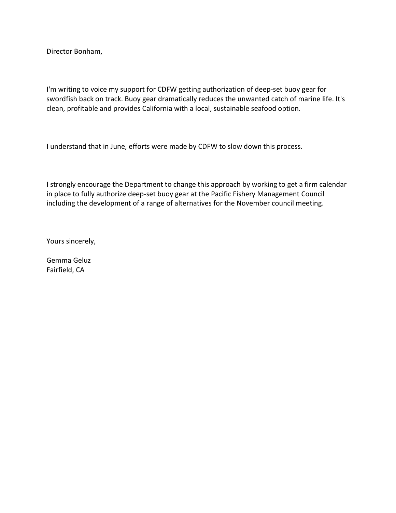I'm writing to voice my support for CDFW getting authorization of deep-set buoy gear for swordfish back on track. Buoy gear dramatically reduces the unwanted catch of marine life. It's clean, profitable and provides California with a local, sustainable seafood option.

I understand that in June, efforts were made by CDFW to slow down this process.

I strongly encourage the Department to change this approach by working to get a firm calendar in place to fully authorize deep-set buoy gear at the Pacific Fishery Management Council including the development of a range of alternatives for the November council meeting.

Yours sincerely,

Gemma Geluz Fairfield, CA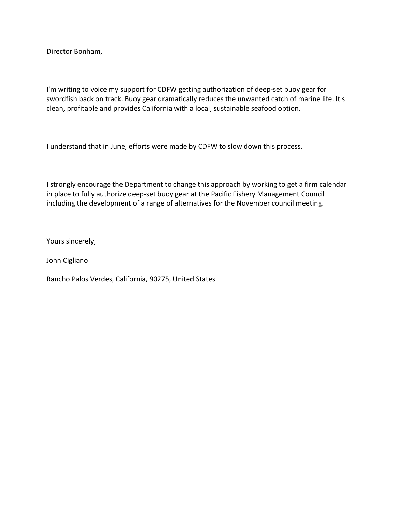I'm writing to voice my support for CDFW getting authorization of deep-set buoy gear for swordfish back on track. Buoy gear dramatically reduces the unwanted catch of marine life. It's clean, profitable and provides California with a local, sustainable seafood option.

I understand that in June, efforts were made by CDFW to slow down this process.

I strongly encourage the Department to change this approach by working to get a firm calendar in place to fully authorize deep-set buoy gear at the Pacific Fishery Management Council including the development of a range of alternatives for the November council meeting.

Yours sincerely,

John Cigliano

Rancho Palos Verdes, California, 90275, United States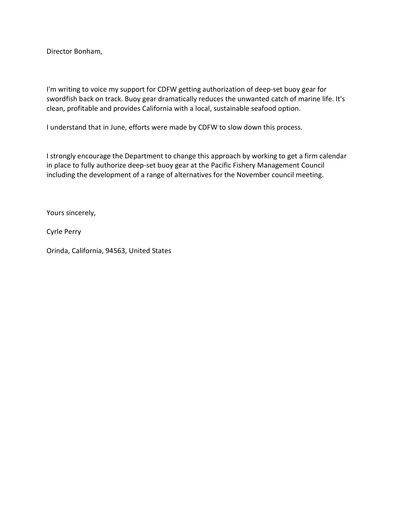I'm writing to voice my support for CDFW getting authorization of deep-set buoy gear for swordfish back on track. Buoy gear dramatically reduces the unwanted catch of marine life. It's clean, profitable and provides California with a local, sustainable seafood option.

I understand that in June, efforts were made by CDFW to slow down this process.

I strongly encourage the Department to change this approach by working to get a firm calendar in place to fully authorize deep-set buoy gear at the Pacific Fishery Management Council including the development of a range of alternatives for the November council meeting.

Yours sincerely,

Cyrle Perry

Orinda, California, 94563, United States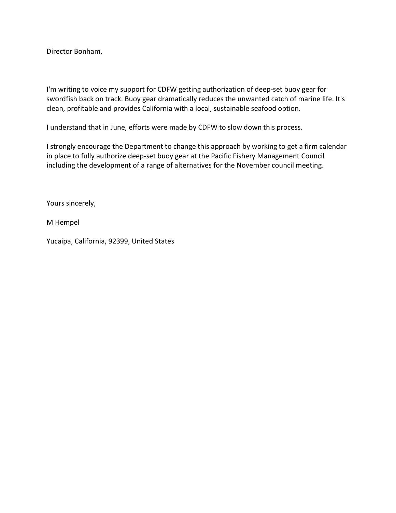I'm writing to voice my support for CDFW getting authorization of deep-set buoy gear for swordfish back on track. Buoy gear dramatically reduces the unwanted catch of marine life. It's clean, profitable and provides California with a local, sustainable seafood option.

I understand that in June, efforts were made by CDFW to slow down this process.

I strongly encourage the Department to change this approach by working to get a firm calendar in place to fully authorize deep-set buoy gear at the Pacific Fishery Management Council including the development of a range of alternatives for the November council meeting.

Yours sincerely,

M Hempel

Yucaipa, California, 92399, United States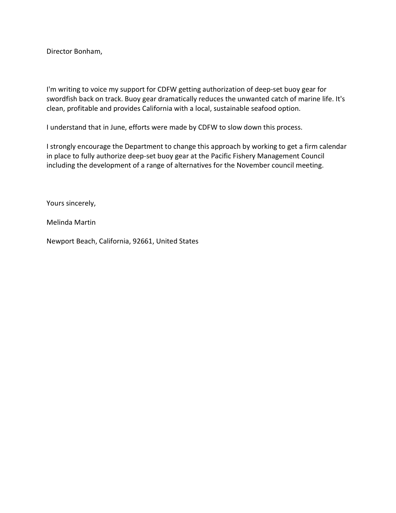I'm writing to voice my support for CDFW getting authorization of deep-set buoy gear for swordfish back on track. Buoy gear dramatically reduces the unwanted catch of marine life. It's clean, profitable and provides California with a local, sustainable seafood option.

I understand that in June, efforts were made by CDFW to slow down this process.

I strongly encourage the Department to change this approach by working to get a firm calendar in place to fully authorize deep-set buoy gear at the Pacific Fishery Management Council including the development of a range of alternatives for the November council meeting.

Yours sincerely,

Melinda Martin

Newport Beach, California, 92661, United States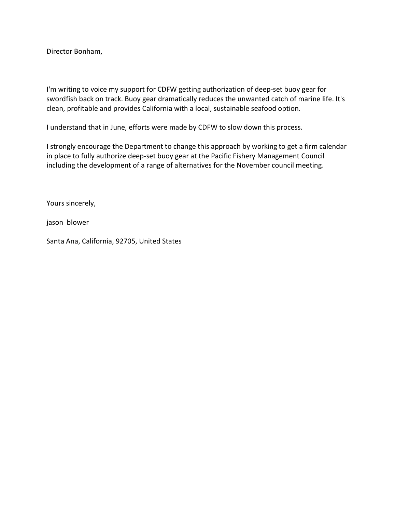I'm writing to voice my support for CDFW getting authorization of deep-set buoy gear for swordfish back on track. Buoy gear dramatically reduces the unwanted catch of marine life. It's clean, profitable and provides California with a local, sustainable seafood option.

I understand that in June, efforts were made by CDFW to slow down this process.

I strongly encourage the Department to change this approach by working to get a firm calendar in place to fully authorize deep-set buoy gear at the Pacific Fishery Management Council including the development of a range of alternatives for the November council meeting.

Yours sincerely,

jason blower

Santa Ana, California, 92705, United States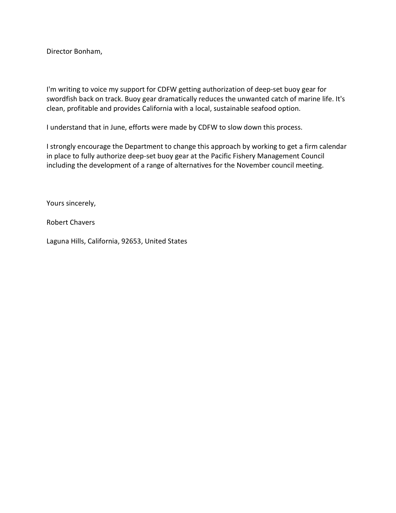I'm writing to voice my support for CDFW getting authorization of deep-set buoy gear for swordfish back on track. Buoy gear dramatically reduces the unwanted catch of marine life. It's clean, profitable and provides California with a local, sustainable seafood option.

I understand that in June, efforts were made by CDFW to slow down this process.

I strongly encourage the Department to change this approach by working to get a firm calendar in place to fully authorize deep-set buoy gear at the Pacific Fishery Management Council including the development of a range of alternatives for the November council meeting.

Yours sincerely,

Robert Chavers

Laguna Hills, California, 92653, United States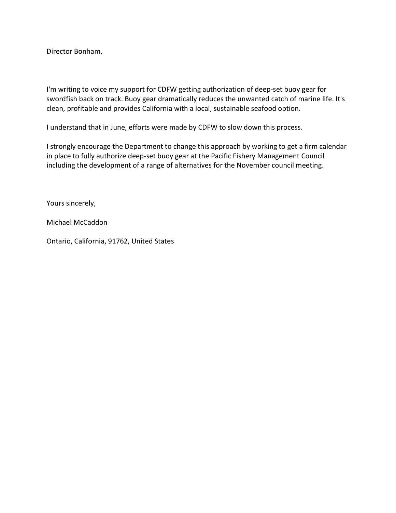I'm writing to voice my support for CDFW getting authorization of deep-set buoy gear for swordfish back on track. Buoy gear dramatically reduces the unwanted catch of marine life. It's clean, profitable and provides California with a local, sustainable seafood option.

I understand that in June, efforts were made by CDFW to slow down this process.

I strongly encourage the Department to change this approach by working to get a firm calendar in place to fully authorize deep-set buoy gear at the Pacific Fishery Management Council including the development of a range of alternatives for the November council meeting.

Yours sincerely,

Michael McCaddon

Ontario, California, 91762, United States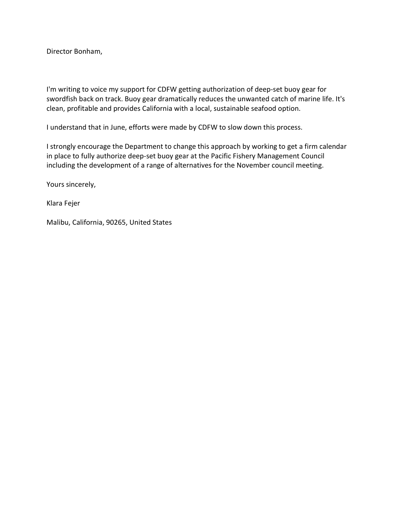I'm writing to voice my support for CDFW getting authorization of deep-set buoy gear for swordfish back on track. Buoy gear dramatically reduces the unwanted catch of marine life. It's clean, profitable and provides California with a local, sustainable seafood option.

I understand that in June, efforts were made by CDFW to slow down this process.

I strongly encourage the Department to change this approach by working to get a firm calendar in place to fully authorize deep-set buoy gear at the Pacific Fishery Management Council including the development of a range of alternatives for the November council meeting.

Yours sincerely,

Klara Fejer

Malibu, California, 90265, United States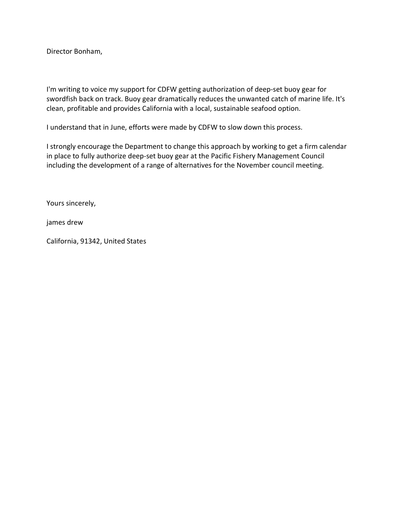I'm writing to voice my support for CDFW getting authorization of deep-set buoy gear for swordfish back on track. Buoy gear dramatically reduces the unwanted catch of marine life. It's clean, profitable and provides California with a local, sustainable seafood option.

I understand that in June, efforts were made by CDFW to slow down this process.

I strongly encourage the Department to change this approach by working to get a firm calendar in place to fully authorize deep-set buoy gear at the Pacific Fishery Management Council including the development of a range of alternatives for the November council meeting.

Yours sincerely,

james drew

California, 91342, United States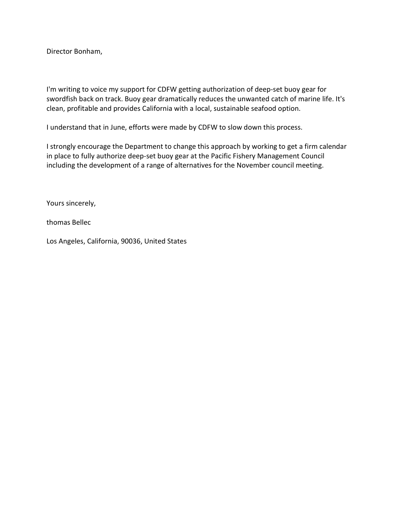I'm writing to voice my support for CDFW getting authorization of deep-set buoy gear for swordfish back on track. Buoy gear dramatically reduces the unwanted catch of marine life. It's clean, profitable and provides California with a local, sustainable seafood option.

I understand that in June, efforts were made by CDFW to slow down this process.

I strongly encourage the Department to change this approach by working to get a firm calendar in place to fully authorize deep-set buoy gear at the Pacific Fishery Management Council including the development of a range of alternatives for the November council meeting.

Yours sincerely,

thomas Bellec

Los Angeles, California, 90036, United States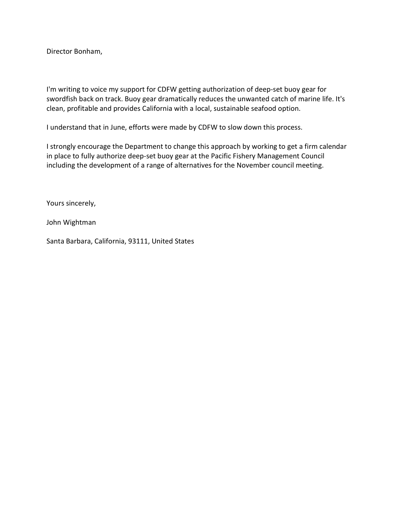I'm writing to voice my support for CDFW getting authorization of deep-set buoy gear for swordfish back on track. Buoy gear dramatically reduces the unwanted catch of marine life. It's clean, profitable and provides California with a local, sustainable seafood option.

I understand that in June, efforts were made by CDFW to slow down this process.

I strongly encourage the Department to change this approach by working to get a firm calendar in place to fully authorize deep-set buoy gear at the Pacific Fishery Management Council including the development of a range of alternatives for the November council meeting.

Yours sincerely,

John Wightman

Santa Barbara, California, 93111, United States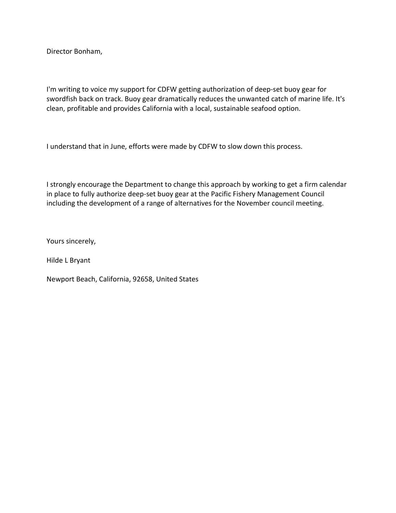I'm writing to voice my support for CDFW getting authorization of deep-set buoy gear for swordfish back on track. Buoy gear dramatically reduces the unwanted catch of marine life. It's clean, profitable and provides California with a local, sustainable seafood option.

I understand that in June, efforts were made by CDFW to slow down this process.

I strongly encourage the Department to change this approach by working to get a firm calendar in place to fully authorize deep-set buoy gear at the Pacific Fishery Management Council including the development of a range of alternatives for the November council meeting.

Yours sincerely,

Hilde L Bryant

Newport Beach, California, 92658, United States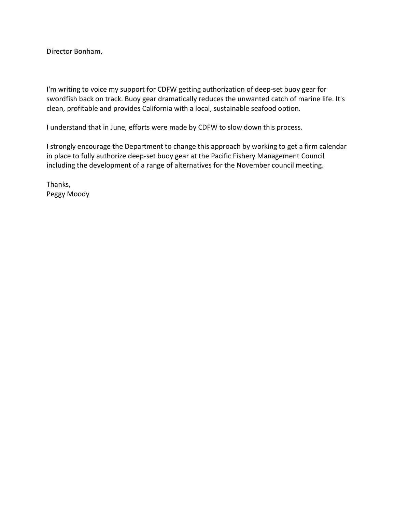I'm writing to voice my support for CDFW getting authorization of deep-set buoy gear for swordfish back on track. Buoy gear dramatically reduces the unwanted catch of marine life. It's clean, profitable and provides California with a local, sustainable seafood option.

I understand that in June, efforts were made by CDFW to slow down this process.

I strongly encourage the Department to change this approach by working to get a firm calendar in place to fully authorize deep-set buoy gear at the Pacific Fishery Management Council including the development of a range of alternatives for the November council meeting.

Thanks, Peggy Moody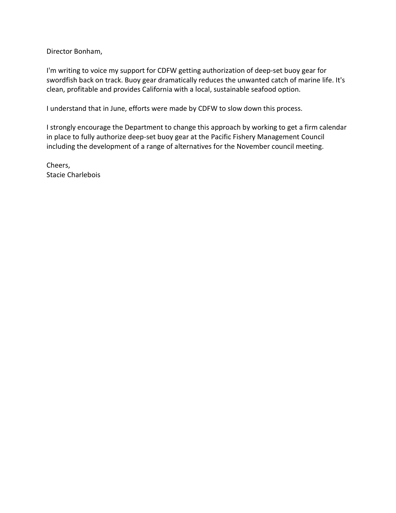I'm writing to voice my support for CDFW getting authorization of deep-set buoy gear for swordfish back on track. Buoy gear dramatically reduces the unwanted catch of marine life. It's clean, profitable and provides California with a local, sustainable seafood option.

I understand that in June, efforts were made by CDFW to slow down this process.

I strongly encourage the Department to change this approach by working to get a firm calendar in place to fully authorize deep-set buoy gear at the Pacific Fishery Management Council including the development of a range of alternatives for the November council meeting.

Cheers, Stacie Charlebois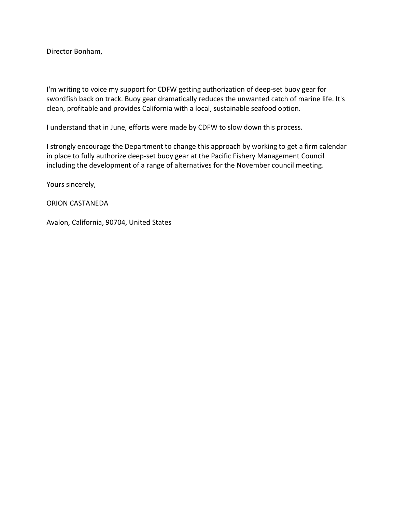I'm writing to voice my support for CDFW getting authorization of deep-set buoy gear for swordfish back on track. Buoy gear dramatically reduces the unwanted catch of marine life. It's clean, profitable and provides California with a local, sustainable seafood option.

I understand that in June, efforts were made by CDFW to slow down this process.

I strongly encourage the Department to change this approach by working to get a firm calendar in place to fully authorize deep-set buoy gear at the Pacific Fishery Management Council including the development of a range of alternatives for the November council meeting.

Yours sincerely,

ORION CASTANEDA

Avalon, California, 90704, United States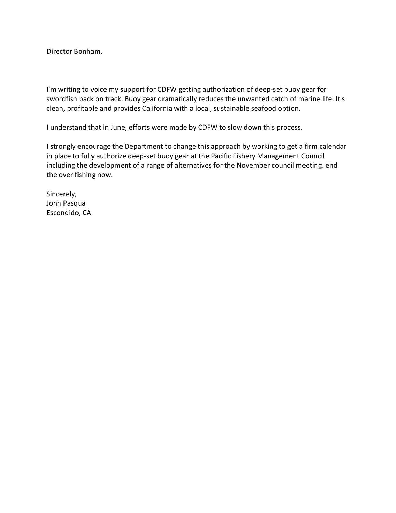I'm writing to voice my support for CDFW getting authorization of deep-set buoy gear for swordfish back on track. Buoy gear dramatically reduces the unwanted catch of marine life. It's clean, profitable and provides California with a local, sustainable seafood option.

I understand that in June, efforts were made by CDFW to slow down this process.

I strongly encourage the Department to change this approach by working to get a firm calendar in place to fully authorize deep-set buoy gear at the Pacific Fishery Management Council including the development of a range of alternatives for the November council meeting. end the over fishing now.

Sincerely, John Pasqua Escondido, CA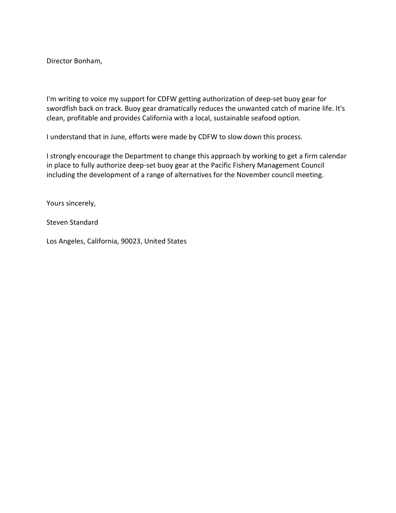I'm writing to voice my support for CDFW getting authorization of deep-set buoy gear for swordfish back on track. Buoy gear dramatically reduces the unwanted catch of marine life. It's clean, profitable and provides California with a local, sustainable seafood option.

I understand that in June, efforts were made by CDFW to slow down this process.

I strongly encourage the Department to change this approach by working to get a firm calendar in place to fully authorize deep-set buoy gear at the Pacific Fishery Management Council including the development of a range of alternatives for the November council meeting.

Yours sincerely,

Steven Standard

Los Angeles, California, 90023, United States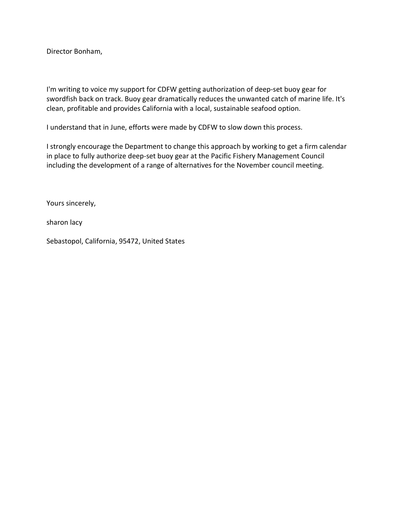I'm writing to voice my support for CDFW getting authorization of deep-set buoy gear for swordfish back on track. Buoy gear dramatically reduces the unwanted catch of marine life. It's clean, profitable and provides California with a local, sustainable seafood option.

I understand that in June, efforts were made by CDFW to slow down this process.

I strongly encourage the Department to change this approach by working to get a firm calendar in place to fully authorize deep-set buoy gear at the Pacific Fishery Management Council including the development of a range of alternatives for the November council meeting.

Yours sincerely,

sharon lacy

Sebastopol, California, 95472, United States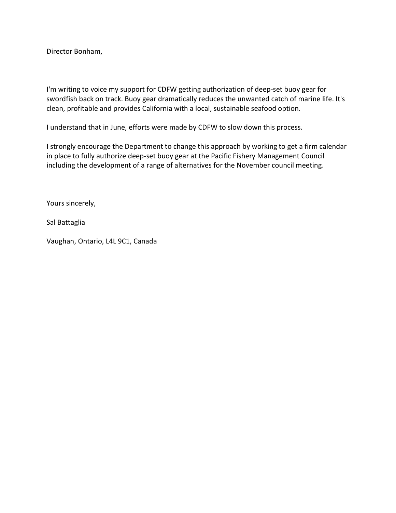I'm writing to voice my support for CDFW getting authorization of deep-set buoy gear for swordfish back on track. Buoy gear dramatically reduces the unwanted catch of marine life. It's clean, profitable and provides California with a local, sustainable seafood option.

I understand that in June, efforts were made by CDFW to slow down this process.

I strongly encourage the Department to change this approach by working to get a firm calendar in place to fully authorize deep-set buoy gear at the Pacific Fishery Management Council including the development of a range of alternatives for the November council meeting.

Yours sincerely,

Sal Battaglia

Vaughan, Ontario, L4L 9C1, Canada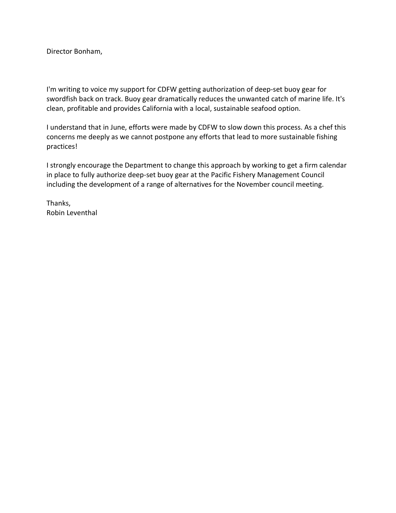I'm writing to voice my support for CDFW getting authorization of deep-set buoy gear for swordfish back on track. Buoy gear dramatically reduces the unwanted catch of marine life. It's clean, profitable and provides California with a local, sustainable seafood option.

I understand that in June, efforts were made by CDFW to slow down this process. As a chef this concerns me deeply as we cannot postpone any efforts that lead to more sustainable fishing practices!

I strongly encourage the Department to change this approach by working to get a firm calendar in place to fully authorize deep-set buoy gear at the Pacific Fishery Management Council including the development of a range of alternatives for the November council meeting.

Thanks, Robin Leventhal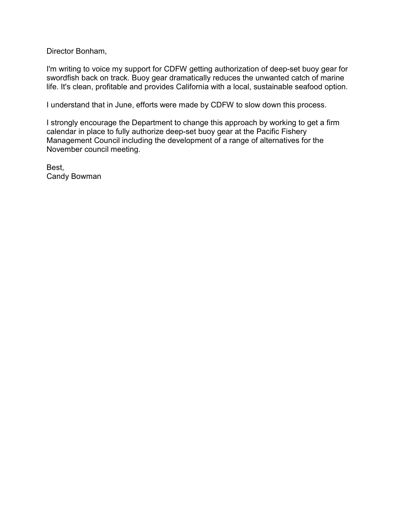I'm writing to voice my support for CDFW getting authorization of deep-set buoy gear for swordfish back on track. Buoy gear dramatically reduces the unwanted catch of marine life. It's clean, profitable and provides California with a local, sustainable seafood option.

I understand that in June, efforts were made by CDFW to slow down this process.

I strongly encourage the Department to change this approach by working to get a firm calendar in place to fully authorize deep-set buoy gear at the Pacific Fishery Management Council including the development of a range of alternatives for the November council meeting.

Best, Candy Bowman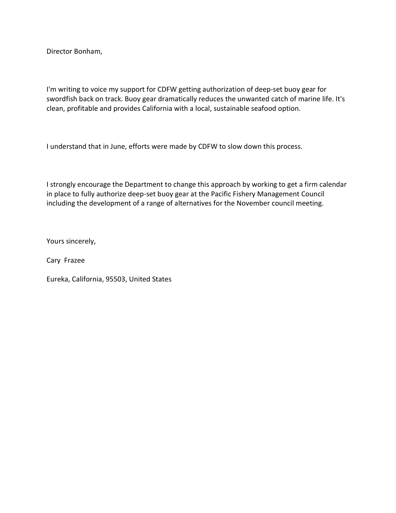I'm writing to voice my support for CDFW getting authorization of deep-set buoy gear for swordfish back on track. Buoy gear dramatically reduces the unwanted catch of marine life. It's clean, profitable and provides California with a local, sustainable seafood option.

I understand that in June, efforts were made by CDFW to slow down this process.

I strongly encourage the Department to change this approach by working to get a firm calendar in place to fully authorize deep-set buoy gear at the Pacific Fishery Management Council including the development of a range of alternatives for the November council meeting.

Yours sincerely,

Cary Frazee

Eureka, California, 95503, United States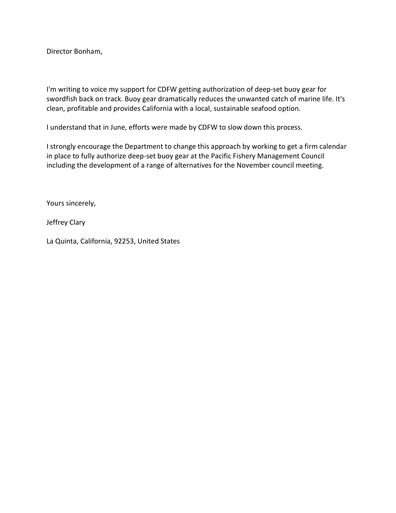I'm writing to voice my support for CDFW getting authorization of deep-set buoy gear for swordfish back on track. Buoy gear dramatically reduces the unwanted catch of marine life. It's clean, profitable and provides California with a local, sustainable seafood option.

I understand that in June, efforts were made by CDFW to slow down this process.

I strongly encourage the Department to change this approach by working to get a firm calendar in place to fully authorize deep-set buoy gear at the Pacific Fishery Management Council including the development of a range of alternatives for the November council meeting.

Yours sincerely,

Jeffrey Clary

La Quinta, California, 92253, United States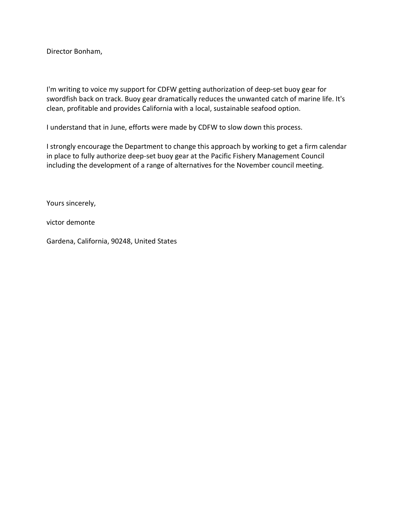I'm writing to voice my support for CDFW getting authorization of deep-set buoy gear for swordfish back on track. Buoy gear dramatically reduces the unwanted catch of marine life. It's clean, profitable and provides California with a local, sustainable seafood option.

I understand that in June, efforts were made by CDFW to slow down this process.

I strongly encourage the Department to change this approach by working to get a firm calendar in place to fully authorize deep-set buoy gear at the Pacific Fishery Management Council including the development of a range of alternatives for the November council meeting.

Yours sincerely,

victor demonte

Gardena, California, 90248, United States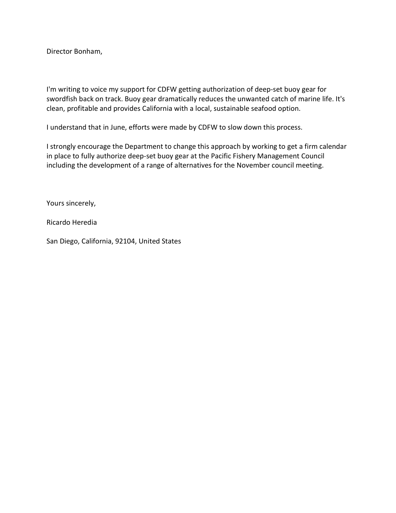I'm writing to voice my support for CDFW getting authorization of deep-set buoy gear for swordfish back on track. Buoy gear dramatically reduces the unwanted catch of marine life. It's clean, profitable and provides California with a local, sustainable seafood option.

I understand that in June, efforts were made by CDFW to slow down this process.

I strongly encourage the Department to change this approach by working to get a firm calendar in place to fully authorize deep-set buoy gear at the Pacific Fishery Management Council including the development of a range of alternatives for the November council meeting.

Yours sincerely,

Ricardo Heredia

San Diego, California, 92104, United States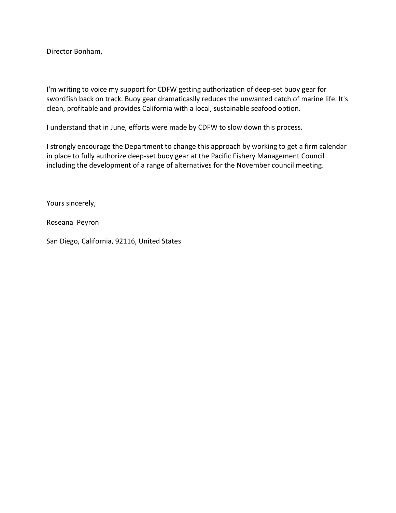I'm writing to voice my support for CDFW getting authorization of deep-set buoy gear for swordfish back on track. Buoy gear dramaticaslly reduces the unwanted catch of marine life. It's clean, profitable and provides California with a local, sustainable seafood option.

I understand that in June, efforts were made by CDFW to slow down this process.

I strongly encourage the Department to change this approach by working to get a firm calendar in place to fully authorize deep-set buoy gear at the Pacific Fishery Management Council including the development of a range of alternatives for the November council meeting.

Yours sincerely,

Roseana Peyron

San Diego, California, 92116, United States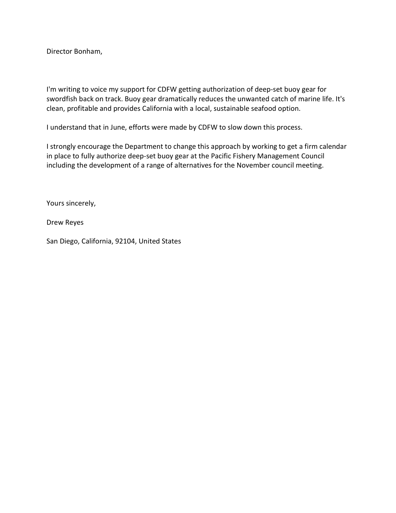I'm writing to voice my support for CDFW getting authorization of deep-set buoy gear for swordfish back on track. Buoy gear dramatically reduces the unwanted catch of marine life. It's clean, profitable and provides California with a local, sustainable seafood option.

I understand that in June, efforts were made by CDFW to slow down this process.

I strongly encourage the Department to change this approach by working to get a firm calendar in place to fully authorize deep-set buoy gear at the Pacific Fishery Management Council including the development of a range of alternatives for the November council meeting.

Yours sincerely,

Drew Reyes

San Diego, California, 92104, United States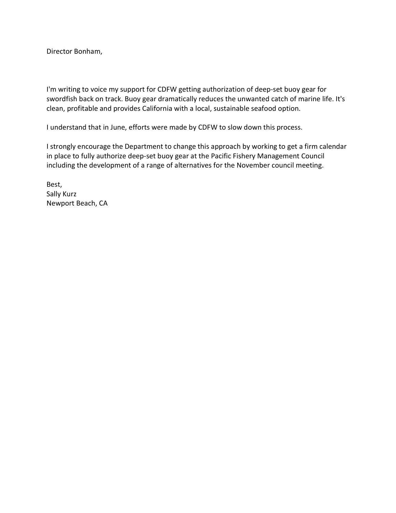I'm writing to voice my support for CDFW getting authorization of deep-set buoy gear for swordfish back on track. Buoy gear dramatically reduces the unwanted catch of marine life. It's clean, profitable and provides California with a local, sustainable seafood option.

I understand that in June, efforts were made by CDFW to slow down this process.

I strongly encourage the Department to change this approach by working to get a firm calendar in place to fully authorize deep-set buoy gear at the Pacific Fishery Management Council including the development of a range of alternatives for the November council meeting.

Best, Sally Kurz Newport Beach, CA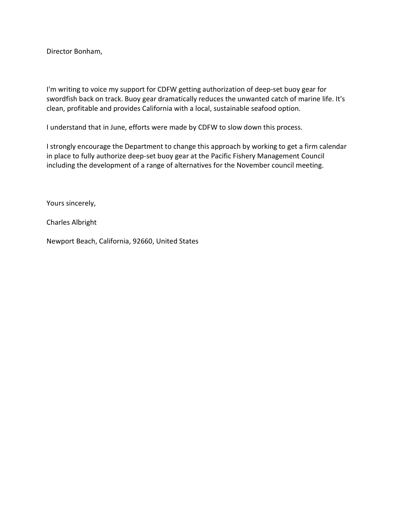I'm writing to voice my support for CDFW getting authorization of deep-set buoy gear for swordfish back on track. Buoy gear dramatically reduces the unwanted catch of marine life. It's clean, profitable and provides California with a local, sustainable seafood option.

I understand that in June, efforts were made by CDFW to slow down this process.

I strongly encourage the Department to change this approach by working to get a firm calendar in place to fully authorize deep-set buoy gear at the Pacific Fishery Management Council including the development of a range of alternatives for the November council meeting.

Yours sincerely,

Charles Albright

Newport Beach, California, 92660, United States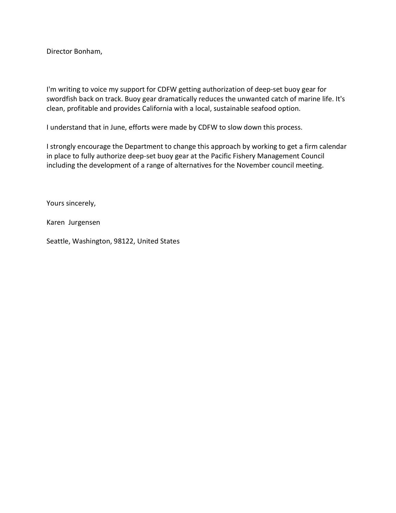I'm writing to voice my support for CDFW getting authorization of deep-set buoy gear for swordfish back on track. Buoy gear dramatically reduces the unwanted catch of marine life. It's clean, profitable and provides California with a local, sustainable seafood option.

I understand that in June, efforts were made by CDFW to slow down this process.

I strongly encourage the Department to change this approach by working to get a firm calendar in place to fully authorize deep-set buoy gear at the Pacific Fishery Management Council including the development of a range of alternatives for the November council meeting.

Yours sincerely,

Karen Jurgensen

Seattle, Washington, 98122, United States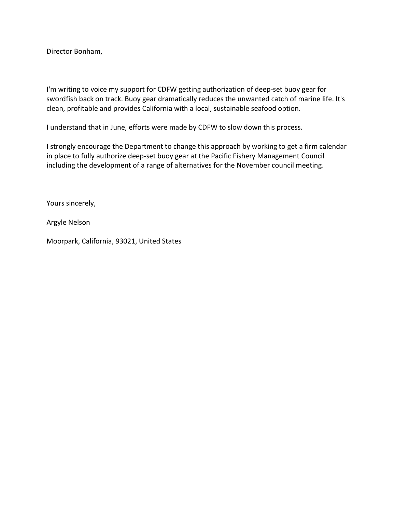I'm writing to voice my support for CDFW getting authorization of deep-set buoy gear for swordfish back on track. Buoy gear dramatically reduces the unwanted catch of marine life. It's clean, profitable and provides California with a local, sustainable seafood option.

I understand that in June, efforts were made by CDFW to slow down this process.

I strongly encourage the Department to change this approach by working to get a firm calendar in place to fully authorize deep-set buoy gear at the Pacific Fishery Management Council including the development of a range of alternatives for the November council meeting.

Yours sincerely,

Argyle Nelson

Moorpark, California, 93021, United States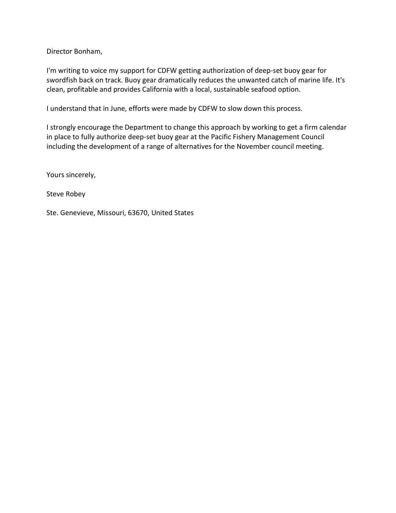I'm writing to voice my support for CDFW getting authorization of deep-set buoy gear for swordfish back on track. Buoy gear dramatically reduces the unwanted catch of marine life. It's clean, profitable and provides California with a local, sustainable seafood option.

I understand that in June, efforts were made by CDFW to slow down this process.

I strongly encourage the Department to change this approach by working to get a firm calendar in place to fully authorize deep-set buoy gear at the Pacific Fishery Management Council including the development of a range of alternatives for the November council meeting.

Yours sincerely,

Steve Robey

Ste. Genevieve, Missouri, 63670, United States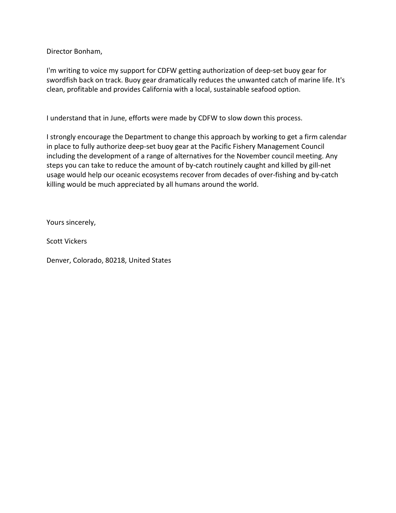I'm writing to voice my support for CDFW getting authorization of deep-set buoy gear for swordfish back on track. Buoy gear dramatically reduces the unwanted catch of marine life. It's clean, profitable and provides California with a local, sustainable seafood option.

I understand that in June, efforts were made by CDFW to slow down this process.

I strongly encourage the Department to change this approach by working to get a firm calendar in place to fully authorize deep-set buoy gear at the Pacific Fishery Management Council including the development of a range of alternatives for the November council meeting. Any steps you can take to reduce the amount of by-catch routinely caught and killed by gill-net usage would help our oceanic ecosystems recover from decades of over-fishing and by-catch killing would be much appreciated by all humans around the world.

Yours sincerely,

Scott Vickers

Denver, Colorado, 80218, United States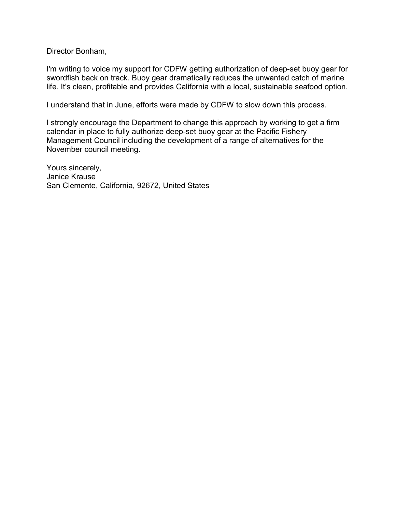I'm writing to voice my support for CDFW getting authorization of deep-set buoy gear for swordfish back on track. Buoy gear dramatically reduces the unwanted catch of marine life. It's clean, profitable and provides California with a local, sustainable seafood option.

I understand that in June, efforts were made by CDFW to slow down this process.

I strongly encourage the Department to change this approach by working to get a firm calendar in place to fully authorize deep-set buoy gear at the Pacific Fishery Management Council including the development of a range of alternatives for the November council meeting.

Yours sincerely, Janice Krause San Clemente, California, 92672, United States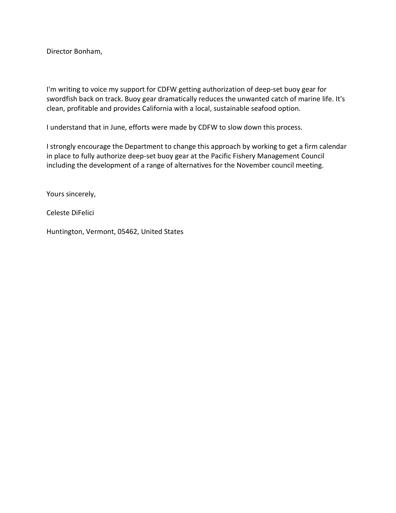I'm writing to voice my support for CDFW getting authorization of deep-set buoy gear for swordfish back on track. Buoy gear dramatically reduces the unwanted catch of marine life. It's clean, profitable and provides California with a local, sustainable seafood option.

I understand that in June, efforts were made by CDFW to slow down this process.

I strongly encourage the Department to change this approach by working to get a firm calendar in place to fully authorize deep-set buoy gear at the Pacific Fishery Management Council including the development of a range of alternatives for the November council meeting.

Yours sincerely,

Celeste DiFelici

Huntington, Vermont, 05462, United States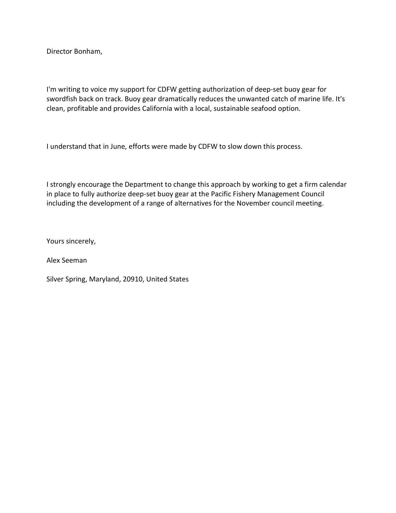I'm writing to voice my support for CDFW getting authorization of deep-set buoy gear for swordfish back on track. Buoy gear dramatically reduces the unwanted catch of marine life. It's clean, profitable and provides California with a local, sustainable seafood option.

I understand that in June, efforts were made by CDFW to slow down this process.

I strongly encourage the Department to change this approach by working to get a firm calendar in place to fully authorize deep-set buoy gear at the Pacific Fishery Management Council including the development of a range of alternatives for the November council meeting.

Yours sincerely,

Alex Seeman

Silver Spring, Maryland, 20910, United States